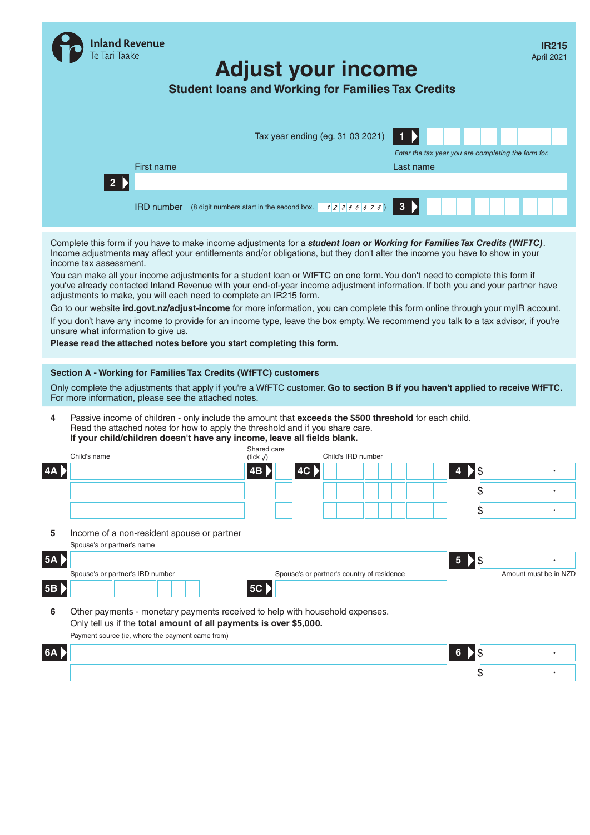|                               | and Revenue<br><b>laake</b>                                                    | <b>Student loans and Working for Families Tax Credits</b>                                                                                                                                                                                                                                                                                                                                                                                                                                                                                                                                                                                                                                                                                                                                                                                                                                                                                       | <b>Adjust your income</b> |                                            |                          |               |                   |   | <b>IR215</b><br>April 2021                          |
|-------------------------------|--------------------------------------------------------------------------------|-------------------------------------------------------------------------------------------------------------------------------------------------------------------------------------------------------------------------------------------------------------------------------------------------------------------------------------------------------------------------------------------------------------------------------------------------------------------------------------------------------------------------------------------------------------------------------------------------------------------------------------------------------------------------------------------------------------------------------------------------------------------------------------------------------------------------------------------------------------------------------------------------------------------------------------------------|---------------------------|--------------------------------------------|--------------------------|---------------|-------------------|---|-----------------------------------------------------|
|                               |                                                                                | First name                                                                                                                                                                                                                                                                                                                                                                                                                                                                                                                                                                                                                                                                                                                                                                                                                                                                                                                                      |                           | Tax year ending (eg. 31 03 2021)           |                          | Last name     | $\mathbf{2}$<br>3 |   | Enter the tax year you are completing the form for. |
|                               |                                                                                | jgkkgkroergk943947943349rgjormreogm                                                                                                                                                                                                                                                                                                                                                                                                                                                                                                                                                                                                                                                                                                                                                                                                                                                                                                             |                           |                                            |                          |               |                   |   | jgg48h9834gq4g9ng9qg9qg4ngq89ng49ng                 |
|                               |                                                                                | <b>IRD number</b> (8 digit numbers start in the second box. 12345 678)                                                                                                                                                                                                                                                                                                                                                                                                                                                                                                                                                                                                                                                                                                                                                                                                                                                                          |                           |                                            |                          | 3 <b>&gt;</b> | 3                 | 5 | -6                                                  |
|                               | income tax assessment.<br>unsure what information to give us.                  | Complete this form if you have to make income adjustments for a student loan or Working for Families Tax Credits (WfFTC).<br>Income adjustments may affect your entitlements and/or obligations, but they don't alter the income you have to show in your<br>You can make all your income adjustments for a student loan or WfFTC on one form. You don't need to complete this form if<br>you've already contacted Inland Revenue with your end-of-year income adjustment information. If both you and your partner have<br>adjustments to make, you will each need to complete an IR215 form.<br>Go to our website ird.govt.nz/adjust-income for more information, you can complete this form online through your mylR account.<br>If you don't have any income to provide for an income type, leave the box empty. We recommend you talk to a tax advisor, if you're<br>Please read the attached notes before you start completing this form. |                           |                                            |                          |               |                   |   |                                                     |
|                               |                                                                                | Section A - Working for Families Tax Credits (WfFTC) customers<br>Only complete the adjustments that apply if you're a WfFTC customer. Go to section B if you haven't applied to receive WfFTC.<br>For more information, please see the attached notes.                                                                                                                                                                                                                                                                                                                                                                                                                                                                                                                                                                                                                                                                                         |                           |                                            |                          |               |                   |   |                                                     |
| 4                             |                                                                                | Passive income of children - only include the amount that exceeds the \$500 threshold for each child.<br>Read the attached notes for how to apply the threshold and if you share care.<br>If your child/children doesn't have any income, leave all fields blank.                                                                                                                                                                                                                                                                                                                                                                                                                                                                                                                                                                                                                                                                               | Shared care               |                                            |                          |               |                   |   |                                                     |
|                               | Child's name                                                                   |                                                                                                                                                                                                                                                                                                                                                                                                                                                                                                                                                                                                                                                                                                                                                                                                                                                                                                                                                 | (tick $\sqrt{ }$ )        |                                            | Child's IRD number       |               |                   |   |                                                     |
| 4A <b>&gt;</b>                |                                                                                | gipenognheoo9t39hjbtnthoinegenlerml 4B >                                                                                                                                                                                                                                                                                                                                                                                                                                                                                                                                                                                                                                                                                                                                                                                                                                                                                                        | $\checkmark$              | $\vert$ 4C $\rangle$ $\vert$               | $2 3 4 5 6 7 8 9 4$ > \$ |               |                   |   | 123456789                                           |
|                               |                                                                                | gnoen9r9rg9gjg309340rgejtjgr9jgrgre                                                                                                                                                                                                                                                                                                                                                                                                                                                                                                                                                                                                                                                                                                                                                                                                                                                                                                             |                           |                                            |                          |               |                   |   |                                                     |
|                               |                                                                                |                                                                                                                                                                                                                                                                                                                                                                                                                                                                                                                                                                                                                                                                                                                                                                                                                                                                                                                                                 | $\checkmark$              |                                            |                          |               |                   |   |                                                     |
|                               |                                                                                |                                                                                                                                                                                                                                                                                                                                                                                                                                                                                                                                                                                                                                                                                                                                                                                                                                                                                                                                                 |                           |                                            |                          |               |                   |   |                                                     |
| 5                             | Spouse's or partner's name                                                     | Income of a non-resident spouse or partner                                                                                                                                                                                                                                                                                                                                                                                                                                                                                                                                                                                                                                                                                                                                                                                                                                                                                                      |                           |                                            |                          |               |                   |   |                                                     |
| 5A                            |                                                                                |                                                                                                                                                                                                                                                                                                                                                                                                                                                                                                                                                                                                                                                                                                                                                                                                                                                                                                                                                 |                           |                                            |                          |               | 5 \\$             |   |                                                     |
|                               | Spouse's or partner's IRD number<br>$\overline{2}$<br>3<br>5 <sup>1</sup><br>4 | $6$ 7 8 9                                                                                                                                                                                                                                                                                                                                                                                                                                                                                                                                                                                                                                                                                                                                                                                                                                                                                                                                       |                           | Spouse's or partner's country of residence |                          |               |                   |   | Amount must be in NZD                               |
| 5B $\blacktriangleright$<br>6 |                                                                                | Other payments - monetary payments received to help with household expenses.<br>Only tell us if the total amount of all payments is over \$5,000.<br>Payment source (ie, where the payment came from)                                                                                                                                                                                                                                                                                                                                                                                                                                                                                                                                                                                                                                                                                                                                           | 5C                        |                                            |                          |               |                   |   |                                                     |
| 6A >                          |                                                                                | ggnrgnrgnrgogr9re9rg89r8j9tjer9gj9reg9r8gr9gr9g8rn9g89g4jg9rgjorgejroegjrojerg9ej <mark>i 6 \$</mark>                                                                                                                                                                                                                                                                                                                                                                                                                                                                                                                                                                                                                                                                                                                                                                                                                                           |                           |                                            |                          |               |                   |   |                                                     |
|                               |                                                                                |                                                                                                                                                                                                                                                                                                                                                                                                                                                                                                                                                                                                                                                                                                                                                                                                                                                                                                                                                 |                           |                                            |                          |               |                   |   |                                                     |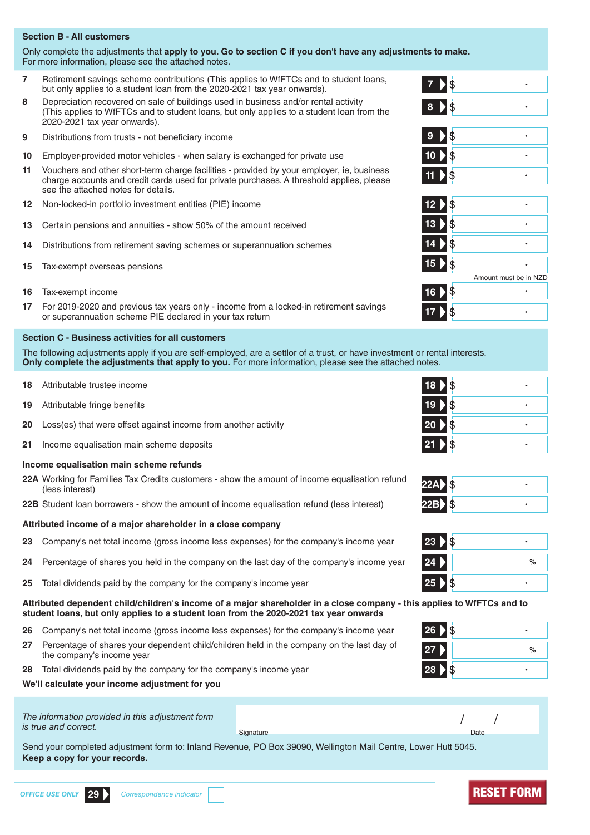# **Section B - All customers**

Only complete the adjustments that **apply to you. Go to section C if you don't have any adjustments to make.** For more information, please see the attached notes.

- **7** Retirement savings scheme contributions (This applies to WfFTCs and to student loans, but only applies to a student loan from the 2020-2021 tax year onwards). **7**
- **8** Depreciation recovered on sale of buildings used in business and/or rental activity (This applies to WfFTCs and to student loans, but only applies to a student loan from the 2020-2021 tax year onwards).
- **9** Distributions from trusts not beneficiary income **9**
- **10** Employer-provided motor vehicles when salary is exchanged for private use **10**
- **11** Vouchers and other short-term charge facilities provided by your employer, ie, business charge accounts and credit cards used for private purchases. A threshold applies, please see the attached notes for details.
- **12** Non-locked-in portfolio investment entities (PIE) income **12**
- **13** Certain pensions and annuities show 50% of the amount received **13**
- **14** Distributions from retirement saving schemes or superannuation schemes **14**
- **15** Tax-exempt overseas pensions **15**
- **16** Tax-exempt income **16**
- **17** For 2019-2020 and previous tax years only income from a locked-in retirement savings or superannuation scheme PIE declared in your tax return **17**

## **Section C - Business activities for all customers**

The following adjustments apply if you are self-employed, are a settlor of a trust, or have investment or rental interests. **Only complete the adjustments that apply to you.** For more information, please see the attached notes.

- **18** Attributable trustee income **18**
- **19** Attributable fringe benefits **19**
- **20** Loss(es) that were offset against income from another activity **20**
- **21** Income equalisation main scheme deposits **21**

## **Income equalisation main scheme refunds**

**22A** Working for Families Tax Credits customers - show the amount of income equalisation refund (less interest) **22A**

**22B** Student loan borrowers - show the amount of income equalisation refund (less interest) **22B**

## **Attributed income of a major shareholder in a close company**

- **23** Company's net total income (gross income less expenses) for the company's income year **23**
- **24** Percentage of shares you held in the company on the last day of the company's income year **24 %**
- **25** Total dividends paid by the company for the company's income year **25**

**Attributed dependent child/children's income of a major shareholder in a close company - this applies to WfFTCs and to student loans, but only applies to a student loan from the 2020-2021 tax year onwards**

- **26** Company's net total income (gross income less expenses) for the company's income year **26**
- **27** Percentage of shares your dependent child/children held in the company on the last day of the company's income year **<sup>27</sup> %**
- **28** Total dividends paid by the company for the company's income year **28**

**We'll calculate your income adjustment for you**

*The information provided in this adjustment form is true and correct.* / /

Signature Date Communication and Communication and Communication and Communication and Communication and Date

Send your completed adjustment form to: Inland Revenue, PO Box 39090, Wellington Mail Centre, Lower Hutt 5045. **Keep a copy for your records.**



| 18 \$    |  |
|----------|--|
| 19.8     |  |
| 20 > \$  |  |
| 21<br>15 |  |
|          |  |

 $\ddot{\phantom{0}}$ 

| כי |  |
|----|--|
| ь  |  |

| 23<br>\$        |   |
|-----------------|---|
| 24              | % |
| 25 <sub>2</sub> |   |

| ا \$<br>26 |   |
|------------|---|
| <b>27</b>  | % |
| \$<br>28   |   |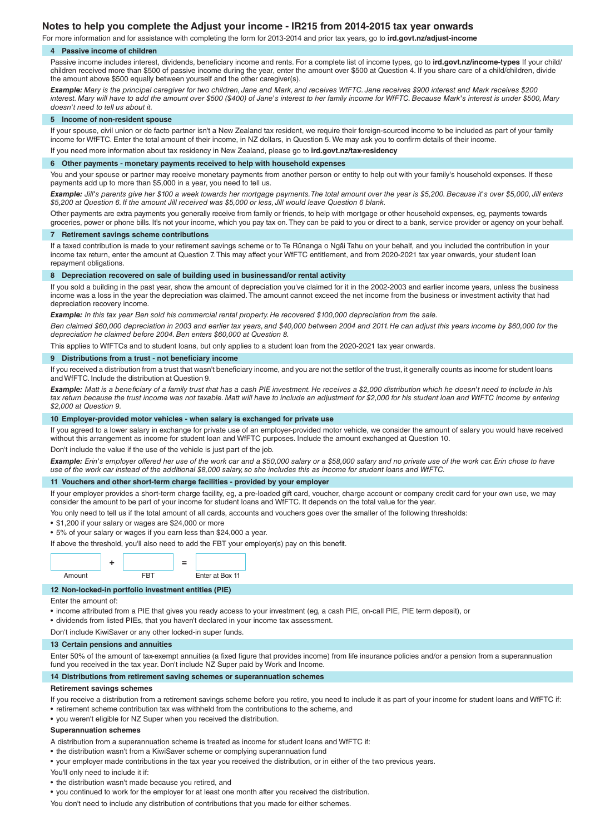# **Notes to help you complete the Adjust your income - IR215 from 2014-2015 tax year onwards**

For more information and for assistance with completing the form for 2013-2014 and prior tax years, go to **ird.govt.nz/adjust-income**

## **4 Passive income of children**

Passive income includes interest, dividends, beneficiary income and rents. For a complete list of income types, go to **ird.govt.nz/income-types** If your child/ children received more than \$500 of passive income during the year, enter the amount over \$500 at Question 4. If you share care of a child/children, divide the amount above \$500 equally between yourself and the other caregiver(s).

*Example: Mary is the principal caregiver for two children, Jane and Mark, and receives WfFTC. Jane receives \$900 interest and Mark receives \$200 interest. Mary will have to add the amount over \$500 (\$400) of Jane's interest to her family income for WfFTC. Because Mark's interest is under \$500, Mary doesn't need to tell us about it.*

#### **5 Income of non-resident spouse**

If your spouse, civil union or de facto partner isn't a New Zealand tax resident, we require their foreign-sourced income to be included as part of your family income for WfFTC. Enter the total amount of their income, in NZ dollars, in Question 5. We may ask you to confirm details of their income. If you need more information about tax residency in New Zealand, please go to **ird.govt.nz/tax-residency**

**6 Other payments - monetary payments received to help with household expenses**

You and your spouse or partner may receive monetary payments from another person or entity to help out with your family's household expenses. If these payments add up to more than \$5,000 in a year, you need to tell us.

*Example: Jill's parents give her \$100 a week towards her mortgage payments. The total amount over the year is \$5,200. Because it's over \$5,000, Jill enters \$5,200 at Question 6. If the amount Jill received was \$5,000 or less, Jill would leave Question 6 blank.*

Other payments are extra payments you generally receive from family or friends, to help with mortgage or other household expenses, eg, payments towards groceries, power or phone bills. It's not your income, which you pay tax on. They can be paid to you or direct to a bank, service provider or agency on your behalf.

## **7 Retirement savings scheme contributions**

If a taxed contribution is made to your retirement savings scheme or to Te Rūnanga o Ngāi Tahu on your behalf, and you included the contribution in your income tax return, enter the amount at Question 7. This may affect your WfFTC entitlement, and from 2020-2021 tax year onwards, your student loan repayment obligations.

## **8 Depreciation recovered on sale of building used in businessand/or rental activity**

If you sold a building in the past year, show the amount of depreciation you've claimed for it in the 2002-2003 and earlier income years, unless the business income was a loss in the year the depreciation was claimed. The amount cannot exceed the net income from the business or investment activity that had depreciation recovery income.

*Example: In this tax year Ben sold his commercial rental property. He recovered \$100,000 depreciation from the sale.*

*Ben claimed \$60,000 depreciation in 2003 and earlier tax years, and \$40,000 between 2004 and 2011. He can adjust this years income by \$60,000 for the depreciation he claimed before 2004. Ben enters \$60,000 at Question 8.*

This applies to WfFTCs and to student loans, but only applies to a student loan from the 2020-2021 tax year onwards.

#### **9 Distributions from a trust - not beneficiary income**

If you received a distribution from a trust that wasn't beneficiary income, and you are not the settlor of the trust, it generally counts as income for student loans and WfFTC. Include the distribution at Question 9.

*Example: Matt is a beneficiary of a family trust that has a cash PIE investment. He receives a \$2,000 distribution which he doesn't need to include in his*  tax return because the trust income was not taxable. Matt will have to include an adjustment for \$2,000 for his student loan and WfFTC income by entering *\$2,000 at Question 9.*

## **10 Employer-provided motor vehicles - when salary is exchanged for private use**

If you agreed to a lower salary in exchange for private use of an employer-provided motor vehicle, we consider the amount of salary you would have received without this arrangement as income for student loan and WfFTC purposes. Include the amount exchanged at Question 10.

t include the value if the use of the vehicle is just part of the job.

*Example: Erin's employer offered her use of the work car and a \$50,000 salary or a \$58,000 salary and no private use of the work car. Erin chose to have use of the work car instead of the additional \$8,000 salary, so she includes this as income for student loans and WfFTC.*

## **11 Vouchers and other short-term charge facilities - provided by your employer**

If your employer provides a short-term charge facility, eg, a pre-loaded gift card, voucher, charge account or company credit card for your own use, we may consider the amount to be part of your income for student loans and WfFTC. It depends on the total value for the year.

You only need to tell us if the total amount of all cards, accounts and vouchers goes over the smaller of the following thresholds:

- \$1,200 if your salary or wages are \$24,000 or more
- 5% of your salary or wages if you earn less than \$24,000 a year.

If above the threshold, you'll also need to add the FBT your employer(s) pay on this benefit.



## **12 Non-locked-in portfolio investment entities (PIE)**

Enter the amount of:

• income attributed from a PIE that gives you ready access to your investment (eg, a cash PIE, on-call PIE, PIE term deposit), or

• dividends from listed PIEs, that you haven't declared in your income tax assessment.

Don't include KiwiSaver or any other locked-in super funds.

## **13 Certain pensions and annuities**

Enter 50% of the amount of tax-exempt annuities (a fixed figure that provides income) from life insurance policies and/or a pension from a superannuation fund you received in the tax year. Don't include NZ Super paid by Work and Income.

## **14 Distributions from retirement saving schemes or superannuation schemes**

#### **Retirement savings schemes**

If you receive a distribution from a retirement savings scheme before you retire, you need to include it as part of your income for student loans and WfFTC if:

- retirement scheme contribution tax was withheld from the contributions to the scheme, and
- you weren't eligible for NZ Super when you received the distribution.

## **Superannuation schemes**

A distribution from a superannuation scheme is treated as income for student loans and WfFTC if:

- the distribution wasn't from a KiwiSaver scheme or complying superannuation fund
- your employer made contributions in the tax year you received the distribution, or in either of the two previous years.

You'll only need to include it if:

• the distribution wasn't made because you retired, and

• you continued to work for the employer for at least one month after you received the distribution.

You don't need to include any distribution of contributions that you made for either schemes.